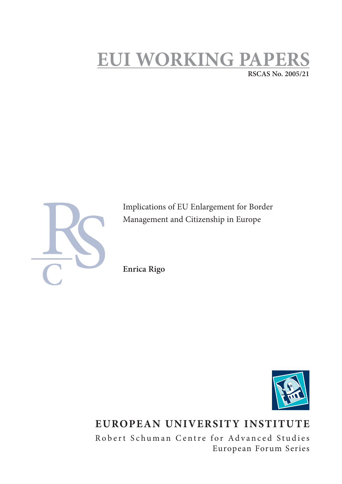# **EUI WORKING PAPI RSCAS No. 2005/21**



Implications of EU Enlargement for Border Management and Citizenship in Europe

**Enrica Rigo**



## **EUROPEAN UNIVERSITY INSTITUTE** Robert Schuman Centre for Advanced Studies European Forum Series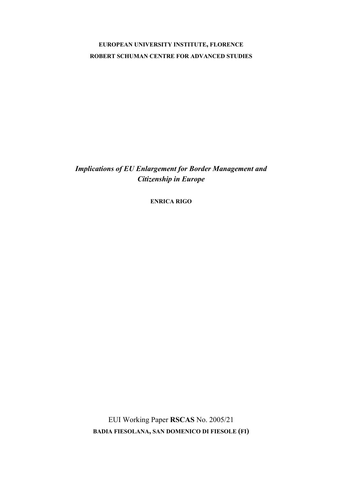### **EUROPEAN UNIVERSITY INSTITUTE, FLORENCE ROBERT SCHUMAN CENTRE FOR ADVANCED STUDIES**

*Implications of EU Enlargement for Border Management and Citizenship in Europe* 

**ENRICA RIGO**

EUI Working Paper **RSCAS** No. 2005/21 **BADIA FIESOLANA, SAN DOMENICO DI FIESOLE (FI)**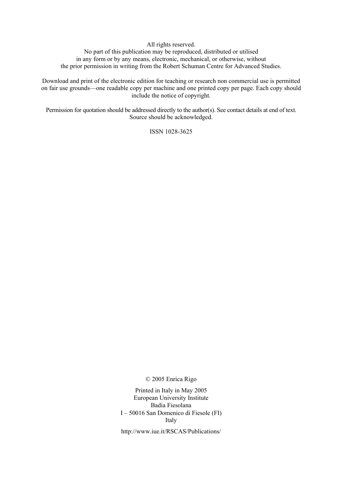All rights reserved.

No part of this publication may be reproduced, distributed or utilised in any form or by any means, electronic, mechanical, or otherwise, without the prior permission in writing from the Robert Schuman Centre for Advanced Studies.

Download and print of the electronic edition for teaching or research non commercial use is permitted on fair use grounds—one readable copy per machine and one printed copy per page. Each copy should include the notice of copyright.

Permission for quotation should be addressed directly to the author(s). See contact details at end of text. Source should be acknowledged.

ISSN 1028-3625

© 2005 Enrica Rigo

Printed in Italy in May 2005 European University Institute Badia Fiesolana I – 50016 San Domenico di Fiesole (FI) Italy

http://www.iue.it/RSCAS/Publications/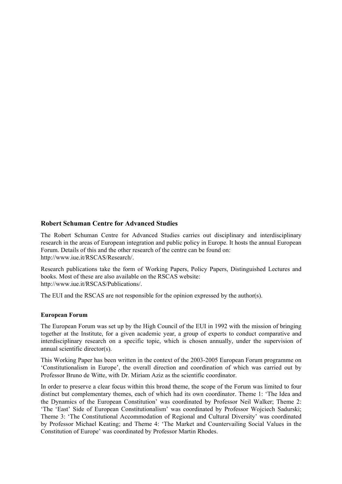#### **Robert Schuman Centre for Advanced Studies**

The Robert Schuman Centre for Advanced Studies carries out disciplinary and interdisciplinary research in the areas of European integration and public policy in Europe. It hosts the annual European Forum. Details of this and the other research of the centre can be found on: http://www.iue.it/RSCAS/Research/.

Research publications take the form of Working Papers, Policy Papers, Distinguished Lectures and books. Most of these are also available on the RSCAS website: http://www.iue.it/RSCAS/Publications/.

The EUI and the RSCAS are not responsible for the opinion expressed by the author(s).

#### **European Forum**

The European Forum was set up by the High Council of the EUI in 1992 with the mission of bringing together at the Institute, for a given academic year, a group of experts to conduct comparative and interdisciplinary research on a specific topic, which is chosen annually, under the supervision of annual scientific director(s).

This Working Paper has been written in the context of the 2003-2005 European Forum programme on 'Constitutionalism in Europe', the overall direction and coordination of which was carried out by Professor Bruno de Witte, with Dr. Miriam Aziz as the scientific coordinator.

In order to preserve a clear focus within this broad theme, the scope of the Forum was limited to four distinct but complementary themes, each of which had its own coordinator. Theme 1: 'The Idea and the Dynamics of the European Constitution' was coordinated by Professor Neil Walker; Theme 2: 'The 'East' Side of European Constitutionalism' was coordinated by Professor Wojciech Sadurski; Theme 3: 'The Constitutional Accommodation of Regional and Cultural Diversity' was coordinated by Professor Michael Keating; and Theme 4: 'The Market and Countervailing Social Values in the Constitution of Europe' was coordinated by Professor Martin Rhodes.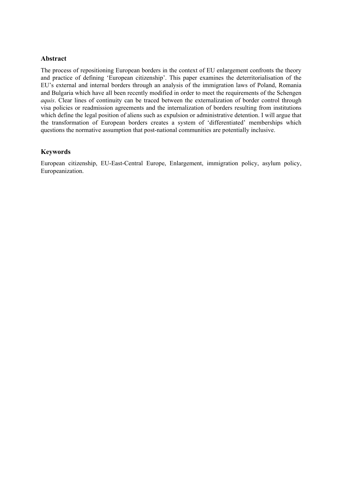#### **Abstract**

The process of repositioning European borders in the context of EU enlargement confronts the theory and practice of defining 'European citizenship'. This paper examines the deterritorialisation of the EU's external and internal borders through an analysis of the immigration laws of Poland, Romania and Bulgaria which have all been recently modified in order to meet the requirements of the Schengen *aquis*. Clear lines of continuity can be traced between the externalization of border control through visa policies or readmission agreements and the internalization of borders resulting from institutions which define the legal position of aliens such as expulsion or administrative detention. I will argue that the transformation of European borders creates a system of 'differentiated' memberships which questions the normative assumption that post-national communities are potentially inclusive.

#### **Keywords**

European citizenship, EU-East-Central Europe, Enlargement, immigration policy, asylum policy, Europeanization.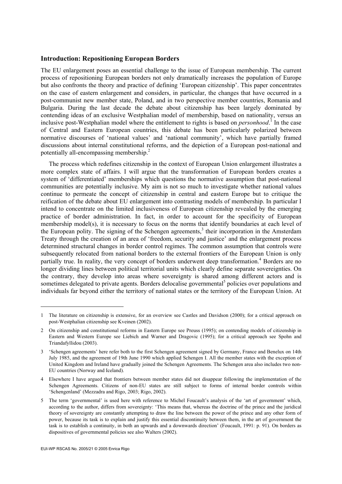#### **Introduction: Repositioning European Borders**

The EU enlargement poses an essential challenge to the issue of European membership. The current process of repositioning European borders not only dramatically increases the population of Europe but also confronts the theory and practice of defining 'European citizenship'. This paper concentrates on the case of eastern enlargement and considers, in particular, the changes that have occurred in a post-communist new member state, Poland, and in two perspective member countries, Romania and Bulgaria. During the last decade the debate about citizenship has been largely dominated by contending ideas of an exclusive Westphalian model of membership, based on nationality, versus an inclusive post-Westphalian model where the entitlement to rights is based on *personhood*.<sup>1</sup> In the case of Central and Eastern European countries, this debate has been particularly polarized between normative discourses of 'national values' and 'national community', which have partially framed discussions about internal constitutional reforms, and the depiction of a European post-national and potentially all-encompassing membership.2

The process which redefines citizenship in the context of European Union enlargement illustrates a more complex state of affairs. I will argue that the transformation of European borders creates a system of 'differentiated' memberships which questions the normative assumption that post-national communities are potentially inclusive. My aim is not so much to investigate whether national values continue to permeate the concept of citizenship in central and eastern Europe but to critique the reification of the debate about EU enlargement into contrasting models of membership. In particular I intend to concentrate on the limited inclusiveness of European citizenship revealed by the emerging practice of border administration. In fact, in order to account for the specificity of European membership model(s), it is necessary to focus on the norms that identify boundaries at each level of the European polity. The signing of the Schengen agreements,<sup>3</sup> their incorporation in the Amsterdam Treaty through the creation of an area of 'freedom, security and justice' and the enlargement process determined structural changes in border control regimes. The common assumption that controls were subsequently relocated from national borders to the external frontiers of the European Union is only partially true. In reality, the very concept of borders underwent deep transformation.<sup>4</sup> Borders are no longer dividing lines between political territorial units which clearly define separate sovereignties. On the contrary, they develop into areas where sovereignty is shared among different actors and is sometimes delegated to private agents. Borders delocalise governmental<sup>5</sup> policies over populations and individuals far beyond either the territory of national states or the territory of the European Union. At

<sup>1</sup> The literature on citizenship is extensive, for an overview see Castles and Davidson (2000); for a critical approach on post-Westphalian citizenship see Kveinen (2002).

<sup>2</sup> On citizenship and constitutional reforms in Eastern Europe see Preuss (1995); on contending models of citizenship in Eastern and Western Europe see Liebich and Warner and Dragovic (1995); for a critical approach see Spohn and Triandafyllidou (2003).

<sup>3 &#</sup>x27;Schengen agreements' here refer both to the first Schengen agreement signed by Germany, France and Benelux on 14th July 1985, and the agreement of 19th June 1990 which applied Schengen I. All the member states with the exception of United Kingdom and Ireland have gradually joined the Schengen Agreements. The Schengen area also includes two non-EU countries (Norway and Iceland).

<sup>4</sup> Elsewhere I have argued that frontiers between member states did not disappear following the implementation of the Schengen Agreements. Citizens of non-EU states are still subject to forms of internal border controls within 'Schengenland' (Mezzadra and Rigo, 2003; Rigo, 2002).

<sup>5</sup> The term 'governmental' is used here with reference to Michel Foucault's analysis of the 'art of government' which, according to the author, differs from sovereignty: 'This means that, whereas the doctrine of the prince and the juridical theory of sovereignty are constantly attempting to draw the line between the power of the prince and any other form of power, because its task is to explain and justify this essential discontinuity between them, in the art of government the task is to establish a continuity, in both an upwards and a downwards direction' (Foucault, 1991: p. 91). On borders as dispositives of governmental policies see also Walters (2002).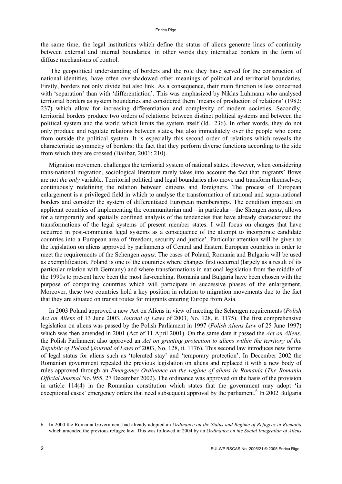the same time, the legal institutions which define the status of aliens generate lines of continuity between external and internal boundaries: in other words they internalize borders in the form of diffuse mechanisms of control.

 The geopolitical understanding of borders and the role they have served for the construction of national identities, have often overshadowed other meanings of political and territorial boundaries. Firstly, borders not only divide but also link. As a consequence, their main function is less concerned with 'separation' than with 'differentiation'. This was emphasized by Niklas Luhmann who analysed territorial borders as system boundaries and considered them 'means of production of relations' (1982: 237) which allow for increasing differentiation and complexity of modern societies. Secondly, territorial borders produce two orders of relations: between distinct political systems and between the political system and the world which limits the system itself (Id.: 236). In other words, they do not only produce and regulate relations between states, but also immediately over the people who come from outside the political system. It is especially this second order of relations which reveals the characteristic asymmetry of borders: the fact that they perform diverse functions according to the side from which they are crossed (Balibar, 2001: 210).

Migration movement challenges the territorial system of national states. However, when considering trans-national migration, sociological literature rarely takes into account the fact that migrants' flows are not *the only* variable. Territorial political and legal boundaries also move and transform themselves; continuously redefining the relation between citizens and foreigners. The process of European enlargement is a privileged field in which to analyse the transformation of national and supra-national borders and consider the system of differentiated European memberships. The condition imposed on applicant countries of implementing the communitarian and—in particular—the Shengen *aquis*, allows for a temporarily and spatially confined analysis of the tendencies that have already characterized the transformations of the legal systems of present member states. I will focus on changes that have occurred in post-communist legal systems as a consequence of the attempt to incorporate candidate countries into a European area of 'freedom, security and justice'. Particular attention will be given to the legislation on aliens approved by parliaments of Central and Eastern European countries in order to meet the requirements of the Schengen *aquis*. The cases of Poland, Romania and Bulgaria will be used as exemplification. Poland is one of the countries where changes first occurred (largely as a result of its particular relation with Germany) and where transformations in national legislation from the middle of the 1990s to present have been the most far-reaching. Romania and Bulgaria have been chosen with the purpose of comparing countries which will participate in successive phases of the enlargement. Moreover, these two countries hold a key position in relation to migration movements due to the fact that they are situated on transit routes for migrants entering Europe from Asia.

In 2003 Poland approved a new Act on Aliens in view of meeting the Schengen requirements (*Polish Act on Aliens* of 13 June 2003, *Journal of Laws* of 2003, No. 128, it. 1175). The first comprehensive legislation on aliens was passed by the Polish Parliament in 1997 (*Polish Aliens Law* of 25 June 1997) which was then amended in 2001 (Act of 11 April 2001). On the same date it passed the *Act on Aliens*, the Polish Parliament also approved an *Act on granting protection to aliens within the territory of the Republic of Poland* (*Journal of Laws* of 2003, No. 128, it. 1176). This second law introduces new forms of legal status for aliens such as 'tolerated stay' and 'temporary protection'. In December 2002 the Romanian government repealed the previous legislation on aliens and replaced it with a new body of rules approved through an *Emergency Ordinance on the regime of aliens in Romania* (*The Romania Official Journal* No. 955, 27 December 2002). The ordinance was approved on the basis of the provision in article 114(4) in the Romanian constitution which states that the government may adopt 'in exceptional cases' emergency orders that need subsequent approval by the parliament.<sup>6</sup> In 2002 Bulgaria

 $\overline{\phantom{a}}$ 

<sup>6</sup> In 2000 the Romania Government had already adopted an *Ordinance on the Status and Regime of Refugees in Romania*  which amended the previous refugee law. This was followed in 2004 by an *Ordinance on the Social Integration of Aliens*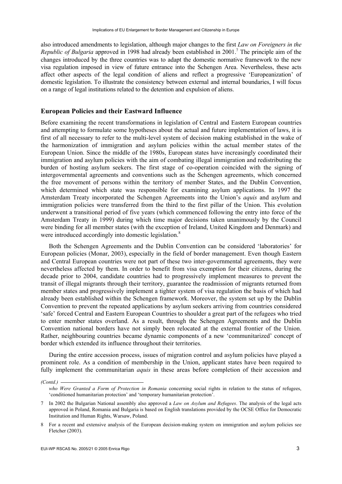also introduced amendments to legislation, although major changes to the first *Law on Foreigners in the Republic of Bulgaria* approved in 1998 had already been established in 2001.<sup>7</sup> The principle aim of the changes introduced by the three countries was to adapt the domestic normative framework to the new visa regulation imposed in view of future entrance into the Schengen Area. Nevertheless, these acts affect other aspects of the legal condition of aliens and reflect a progressive 'Europeanization' of domestic legislation. To illustrate the consistency between external and internal boundaries, I will focus on a range of legal institutions related to the detention and expulsion of aliens.

#### **European Policies and their Eastward Influence**

Before examining the recent transformations in legislation of Central and Eastern European countries and attempting to formulate some hypotheses about the actual and future implementation of laws, it is first of all necessary to refer to the multi-level system of decision making established in the wake of the harmonization of immigration and asylum policies within the actual member states of the European Union. Since the middle of the 1980s, European states have increasingly coordinated their immigration and asylum policies with the aim of combating illegal immigration and redistributing the burden of hosting asylum seekers. The first stage of co-operation coincided with the signing of intergovernmental agreements and conventions such as the Schengen agreements, which concerned the free movement of persons within the territory of member States, and the Dublin Convention, which determined which state was responsible for examining asylum applications. In 1997 the Amsterdam Treaty incorporated the Schengen Agreements into the Union's *aquis* and asylum and immigration policies were transferred from the third to the first pillar of the Union. This evolution underwent a transitional period of five years (which commenced following the entry into force of the Amsterdam Treaty in 1999) during which time major decisions taken unanimously by the Council were binding for all member states (with the exception of Ireland, United Kingdom and Denmark) and were introduced accordingly into domestic legislation.<sup>8</sup>

Both the Schengen Agreements and the Dublin Convention can be considered 'laboratories' for European policies (Monar, 2003), especially in the field of border management. Even though Eastern and Central European countries were not part of these two inter-governmental agreements, they were nevertheless affected by them. In order to benefit from visa exemption for their citizens, during the decade prior to 2004, candidate countries had to progressively implement measures to prevent the transit of illegal migrants through their territory, guarantee the readmission of migrants returned from member states and progressively implement a tighter system of visa regulation the basis of which had already been established within the Schengen framework. Moreover, the system set up by the Dublin Convention to prevent the repeated applications by asylum seekers arriving from countries considered 'safe' forced Central and Eastern European Countries to shoulder a great part of the refugees who tried to enter member states overland. As a result, through the Schengen Agreements and the Dublin Convention national borders have not simply been relocated at the external frontier of the Union. Rather, neighbouring countries became dynamic components of a new 'communitarized' concept of border which extended its influence throughout their territories.

During the entire accession process, issues of migration control and asylum policies have played a prominent role. As a condition of membership in the Union, applicant states have been required to fully implement the communitarian *aquis* in these areas before completion of their accession and

*<sup>(</sup>Contd.)* 

*who Were Granted a Form of Protection in Romania* concerning social rights in relation to the status of refugees, 'conditioned humanitarian protection' and 'temporary humanitarian protection'.

<sup>7</sup> In 2002 the Bulgarian National assembly also approved a *Law on Asylum and Refugees*. The analysis of the legal acts approved in Poland, Romania and Bulgaria is based on English translations provided by the OCSE Office for Democratic Institution and Human Rights, Warsaw, Poland.

<sup>8</sup> For a recent and extensive analysis of the European decision-making system on immigration and asylum policies see Fletcher (2003).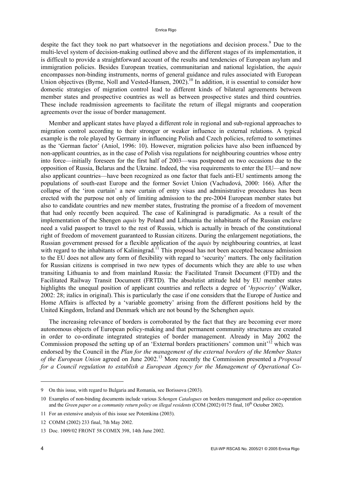despite the fact they took no part whatsoever in the negotiations and decision process.<sup>9</sup> Due to the multi-level system of decision-making outlined above and the different stages of its implementation, it is difficult to provide a straightforward account of the results and tendencies of European asylum and immigration policies. Besides European treaties, communitarian and national legislation, the *aquis* encompasses non-binding instruments, norms of general guidance and rules associated with European Union objectives (Byrne, Noll and Vested-Hansen, 2002).<sup>10</sup> In addition, it is essential to consider how domestic strategies of migration control lead to different kinds of bilateral agreements between member states and prospective countries as well as between prospective states and third countries. These include readmission agreements to facilitate the return of illegal migrants and cooperation agreements over the issue of border management.

Member and applicant states have played a different role in regional and sub-regional approaches to migration control according to their stronger or weaker influence in external relations. A typical example is the role played by Germany in influencing Polish and Czech policies, referred to sometimes as the 'German factor' (Aniol, 1996: 10). However, migration policies have also been influenced by non-applicant countries, as in the case of Polish visa regulations for neighbouring countries whose entry into force—initially foreseen for the first half of 2003—was postponed on two occasions due to the opposition of Russia, Belarus and the Ukraine. Indeed, the visa requirements to enter the EU—and now also applicant countries—have been recognized as one factor that fuels anti-EU sentiments among the populations of south-east Europe and the former Soviet Union (Vachudová, 2000: 166). After the collapse of the 'iron curtain' a new curtain of entry visas and administrative procedures has been erected with the purpose not only of limiting admission to the pre-2004 European member states but also to candidate countries and new member states, frustrating the promise of a freedom of movement that had only recently been acquired. The case of Kaliningrad is paradigmatic. As a result of the implementation of the Shengen *aquis* by Poland and Lithuania the inhabitants of the Russian enclave need a valid passport to travel to the rest of Russia, which is actually in breach of the constitutional right of freedom of movement guaranteed to Russian citizens. During the enlargement negotiations, the Russian government pressed for a flexible application of the *aquis* by neighbouring countries, at least with regard to the inhabitants of Kaliningrad.<sup>11</sup> This proposal has not been accepted because admission to the EU does not allow any form of flexibility with regard to 'security' matters. The only facilitation for Russian citizens is comprised in two new types of documents which they are able to use when transiting Lithuania to and from mainland Russia: the Facilitated Transit Document (FTD) and the Facilitated Railway Transit Document (FRTD). The absolutist attitude held by EU member states highlights the unequal position of applicant countries and reflects a degree of '*hypocrisy*' (Walker, 2002: 28; italics in original). This is particularly the case if one considers that the Europe of Justice and Home Affairs is affected by a 'variable geometry' arising from the different positions held by the United Kingdom, Ireland and Denmark which are not bound by the Schenghen *aquis.*

The increasing relevance of borders is corroborated by the fact that they are becoming ever more autonomous objects of European policy-making and that permanent community structures are created in order to co-ordinate integrated strategies of border management. Already in May 2002 the Commission proposed the setting up of an 'External borders practitioners' common unit'<sup>12</sup> which was endorsed by the Council in the *Plan for the management of the external borders of the Member States of the European Union* agreed on June 2002.<sup>13</sup> More recently the Commission presented a *Proposal for a Council regulation to establish a European Agency for the Management of Operational Co-*

 $\overline{\phantom{a}}$ 

<sup>9</sup> On this issue, with regard to Bulgaria and Romania, see Borissova (2003).

<sup>10</sup> Examples of non-binding documents include various *Schengen Catalogues* on borders management and police co-operation and the *Green paper on a community return policy on illegal residents* (COM (2002) 0175 final, 10<sup>th</sup> October 2002).

<sup>11</sup> For an extensive analysis of this issue see Potemkina (2003).

<sup>12</sup> COMM (2002) 233 final, 7th May 2002.

<sup>13</sup> Doc. 1009/02 FRONT 58 COMIX 398, 14th June 2002.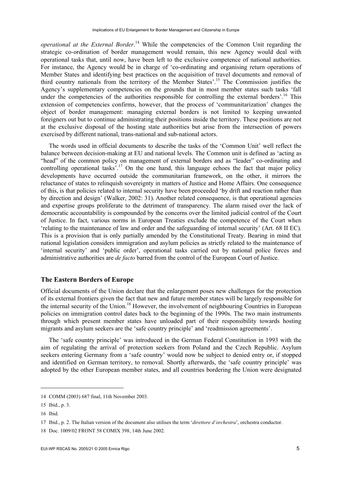*operational at the External Border*. 14 While the competencies of the Common Unit regarding the strategic co-ordination of border management would remain, this new Agency would deal with operational tasks that, until now, have been left to the exclusive competence of national authorities. For instance, the Agency would be in charge of 'co-ordinating and organising return operations of Member States and identifying best practices on the acquisition of travel documents and removal of third country nationals from the territory of the Member States'.15 The Commission justifies the Agency's supplementary competencies on the grounds that in most member states such tasks 'fall under the competencies of the authorities responsible for controlling the external borders'.<sup>16</sup> This extension of competencies confirms, however, that the process of 'communitarization' changes the object of border management: managing external borders is not limited to keeping unwanted foreigners out but to continue administrating their positions inside the territory. These positions are not at the exclusive disposal of the hosting state authorities but arise from the intersection of powers exercised by different national, trans-national and sub-national actors.

The words used in official documents to describe the tasks of the 'Common Unit' well reflect the balance between decision-making at EU and national levels. The Common unit is defined as 'acting as "head" of the common policy on management of external borders and as "leader" co-ordinating and controlling operational tasks<sup>', 17</sup> On the one hand, this language echoes the fact that major policy developments have occurred outside the communitarian framework, on the other, it mirrors the reluctance of states to relinquish sovereignty in matters of Justice and Home Affairs. One consequence of this, is that policies related to internal security have been proceeded 'by drift and reaction rather than by direction and design' (Walker, 2002: 31). Another related consequence, is that operational agencies and expertise groups proliferate to the detriment of transparency. The alarm raised over the lack of democratic accountability is compounded by the concerns over the limited judicial control of the Court of Justice. In fact, various norms in European Treaties exclude the competence of the Court when 'relating to the maintenance of law and order and the safeguarding of internal security' (Art. 68 II EC). This is a provision that is only partially amended by the Constitutional Treaty. Bearing in mind that national legislation considers immigration and asylum policies as strictly related to the maintenance of 'internal security' and 'public order', operational tasks carried out by national police forces and administrative authorities are *de facto* barred from the control of the European Court of Justice.

#### **The Eastern Borders of Europe**

Official documents of the Union declare that the enlargement poses new challenges for the protection of its external frontiers given the fact that new and future member states will be largely responsible for the internal security of the Union.<sup>18</sup> However, the involvement of neighbouring Countries in European policies on immigration control dates back to the beginning of the 1990s. The two main instruments through which present member states have unloaded part of their responsibility towards hosting migrants and asylum seekers are the 'safe country principle' and 'readmission agreements'.

The 'safe country principle' was introduced in the German Federal Constitution in 1993 with the aim of regulating the arrival of protection seekers from Poland and the Czech Republic. Asylum seekers entering Germany from a 'safe country' would now be subject to denied entry or, if stopped and identified on German territory, to removal. Shortly afterwards, the 'safe country principle' was adopted by the other European member states, and all countries bordering the Union were designated

<sup>14</sup> COMM (2003) 687 final, 11th November 2003.

<sup>15</sup> Ibid., p. 3.

<sup>16</sup> Ibid.

<sup>17</sup> Ibid., p. 2. The Italian version of the document also utilises the term '*direttore d'orchestra*', orchestra conductor.

<sup>18</sup> Doc. 1009/02 FRONT 58 COMIX 398, 14th June 2002.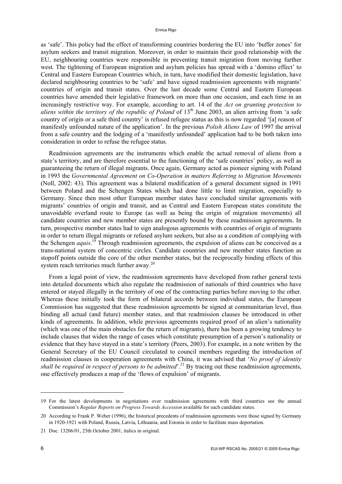#### Enrica Rigo

as 'safe'. This policy had the effect of transforming countries bordering the EU into 'buffer zones' for asylum seekers and transit migration. Moreover, in order to maintain their good relationship with the EU, neighbouring countries were responsible in preventing transit migration from moving further west. The tightening of European migration and asylum policies has spread with a 'domino effect' to Central and Eastern European Countries which, in turn, have modified their domestic legislation, have declared neighbouring countries to be 'safe' and have signed readmission agreements with migrants' countries of origin and transit states. Over the last decade some Central and Eastern European countries have amended their legislative framework on more than one occasion, and each time in an increasingly restrictive way. For example, according to art. 14 of the *Act on granting protection to aliens within the territory of the republic of Poland* of 13<sup>th</sup> June 2003, an alien arriving from 'a safe country of origin or a safe third country' is refused refugee status as this is now regarded '[a] reason of manifestly unfounded nature of the application'. In the previous *Polish Aliens Law* of 1997 the arrival from a safe country and the lodging of a 'manifestly unfounded' application had to be both taken into consideration in order to refuse the refugee status.

Readmission agreements are the instruments which enable the actual removal of aliens from a state's territory, and are therefore essential to the functioning of the 'safe countries' policy, as well as guaranteeing the return of illegal migrants. Once again, Germany acted as pioneer signing with Poland in 1993 the *Governmental Agreement on Co-Operation in matters Referring to Migration Movements* (Noll, 2002: 43). This agreement was a bilateral modification of a general document signed in 1991 between Poland and the Schengen States which had done little to limit migration, especially to Germany. Since then most other European member states have concluded similar agreements with migrants' countries of origin and transit, and as Central and Eastern European states constitute the unavoidable overland route to Europe (as well as being the origin of migration movements) all candidate countries and new member states are presently bound by these readmission agreements. In turn, prospective member states had to sign analogous agreements with countries of origin of migrants in order to return illegal migrants or refused asylum seekers, but also as a condition of complying with the Schengen *aquis*.<sup>19</sup> Through readmission agreements, the expulsion of aliens can be conceived as a trans-national system of concentric circles. Candidate countries and new member states function as stopoff points outside the core of the other member states, but the reciprocally binding effects of this system reach territories much further away.<sup>20</sup>

From a legal point of view, the readmission agreements have developed from rather general texts into detailed documents which also regulate the readmission of nationals of third countries who have entered or stayed illegally in the territory of one of the contracting parties before moving to the other. Whereas these initially took the form of bilateral accords between individual states, the European Commission has suggested that these readmission agreements be signed at communitarian level, thus binding all actual (and future) member states, and that readmission clauses be introduced in other kinds of agreements. In addition, while previous agreements required proof of an alien's nationality (which was one of the main obstacles for the return of migrants), there has been a growing tendency to include clauses that widen the range of cases which constitute presumption of a person's nationality or evidence that they have stayed in a state's territory (Peers, 2003). For example, in a note written by the General Secretary of the EU Council circulated to council members regarding the introduction of readmission clauses in cooperation agreements with China, it was advised that '*No proof of identity shall be required in respect of persons to be admitted*<sup>'. 21</sup> By tracing out these readmission agreements, one effectively produces a map of the 'flows of expulsion' of migrants.

<sup>19</sup> For the latest developments in negotiations over readmission agreements with third countries see the annual Commission's *Regular Reports on Progress Towards Accession* available for each candidate states.

<sup>20</sup> According to Frank P. Weber (1996), the historical precedents of readmission agreements were those signed by Germany in 1920-1921 with Poland, Russia, Latvia, Lithuania, and Estonia in order to facilitate mass deportation.

<sup>21</sup> Doc. 13206/01, 25th October 2001, italics in original.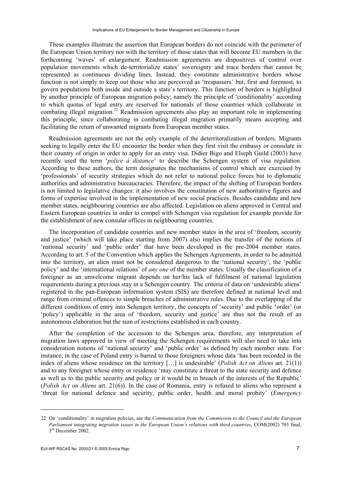These examples illustrate the assertion that European borders do not coincide with the perimeter of the European Union territory nor with the territory of those states that will become EU members in the forthcoming 'waves' of enlargement. Readmission agreements are dispositives of control over population movements which de-territorialize states' sovereignty and trace borders that cannot be represented as continuous dividing lines. Instead, they constitute administrative borders whose function is not simply to keep out those who are perceived as 'trespassers' but, first and foremost, to govern populations both inside and outside a state's territory. This function of borders is highlighted by another principle of European migration policy; namely the principle of 'conditionality' according to which quotas of legal entry are reserved for nationals of those countries which collaborate in combating illegal migration.<sup>22</sup> Readmission agreements also play an important role in implementing this principle, since collaborating in combating illegal migration primarily means accepting and facilitating the return of unwanted migrants from European member states.

Readmission agreements are not the only example of the deterritoralization of borders. Migrants seeking to legally enter the EU encounter the border when they first visit the embassy or consulate in their country of origin in order to apply for an entry visa. Didier Bigo and Elseph Guild (2003) have recently used the term '*police à distance*' to describe the Schengen system of visa regulation. According to these authors, the term designates the mechanisms of control which are exercised by 'professionals' of security strategies which do not refer to national police forces but to diplomatic authorities and administrative bureaucracies. Therefore, the impact of the shifting of European borders is not limited to legislative changes: it also involves the constitution of new authoritative figures and forms of expertise involved in the implementation of new social practices. Besides candidate and new member states, neighbouring countries are also affected. Legislation on aliens approved in Central and Eastern European countries in order to compel with Schengen visa regulation for example provide for the establishment of new consular offices in neighbouring countries.

The incorporation of candidate countries and new member states in the area of 'freedom, security and justice' (which will take place starting from 2007) also implies the transfer of the notions of 'national security' and 'public order' that have been developed in the pre-2004 member states. According to art. 5 of the Convention which applies the Schengen Agreements, in order to be admitted into the territory, an alien must not be considered dangerous to the 'national security', the 'public policy' and the 'international relations' of *any one* of the member states. Usually the classification of a foreigner as an unwelcome migrant depends on her/his lack of fulfilment of national legislation requirements during a previous stay in a Schengen country. The criteria of data on 'undesirable aliens' registered in the pan-European information system (SIS) are therefore defined at national level and range from criminal offences to simple breaches of administrative rules. Due to the overlapping of the different conditions of entry into Schengen territory, the concepts of 'security' and public 'order' (or 'policy') applicable in the area of 'freedom, security and justice' are thus not the result of an autonomous elaboration but the sum of restrictions established in each country.

After the completion of the accession to the Schengen area, therefore, any interpretation of migration laws approved in view of meeting the Schengen requirements will also need to take into consideration notions of 'national security' and 'public order' as defined by each member state. For instance, in the case of Poland entry is barred to those foreigners whose data 'has been recorded in the index of aliens whose residence on the territory […] is undesirable' (*Polish Act on Aliens* art. 21(1)) and to any foreigner whose entry or residence 'may constitute a threat to the state security and defence as well as to the public security and policy or it would be in breach of the interests of the Republic' (*Polish Act on Aliens* art. 21(6)). In the case of Romania, entry is refused to aliens who represent a 'threat for national defence and security, public order, health and moral probity' (*Emergency* 

<sup>22</sup> On 'conditionality' in migration policies, see the *Communication from the Commission to the Council and the European Parliament integrating migration issues in the European Union's relations with third countries*, COM(2002) 703 final, 3<sup>rd</sup> December 2002.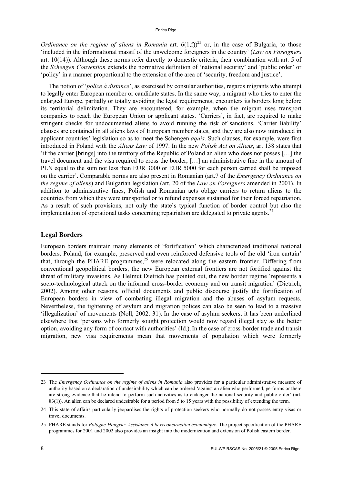*Ordinance on the regime of aliens in Romania* art.  $6(1,f)^{23}$  or, in the case of Bulgaria, to those 'included in the informational massif of the unwelcome foreigners in the country' (*Law on Foreigners* art. 10(14)). Although these norms refer directly to domestic criteria, their combination with art. 5 of the *Schengen Convention* extends the normative definition of 'national security' and 'public order' or 'policy' in a manner proportional to the extension of the area of 'security, freedom and justice'.

The notion of '*police à distance*', as exercised by consular authorities, regards migrants who attempt to legally enter European member or candidate states. In the same way, a migrant who tries to enter the enlarged Europe, partially or totally avoiding the legal requirements, encounters its borders long before its territorial delimitation. They are encountered, for example, when the migrant uses transport companies to reach the European Union or applicant states. 'Carriers', in fact, are required to make stringent checks for undocumented aliens to avoid running the risk of sanctions. 'Carrier liability' clauses are contained in all aliens laws of European member states, and they are also now introduced in applicant countries' legislation so as to meet the Schengen *aquis*. Such clauses, for example, were first introduced in Poland with the *Aliens Law* of 1997. In the new *Polish Act on Aliens*, art 138 states that 'if the carrier [brings] into the territory of the Republic of Poland an alien who does not posses […] the travel document and the visa required to cross the border, […] an administrative fine in the amount of PLN equal to the sum not less than EUR 3000 or EUR 5000 for each person carried shall be imposed on the carrier'. Comparable norms are also present in Romanian (art.7 of the *Emergency Ordinance on the regime of aliens*) and Bulgarian legislation (art. 20 of the *Law on Foreigners* amended in 2001). In addition to administrative fines, Polish and Romanian acts oblige carriers to return aliens to the countries from which they were transported or to refund expenses sustained for their forced repatriation. As a result of such provisions, not only the state's typical function of border control but also the implementation of operational tasks concerning repatriation are delegated to private agents.<sup>24</sup>

#### **Legal Borders**

European borders maintain many elements of 'fortification' which characterized traditional national borders. Poland, for example, preserved and even reinforced defensive tools of the old 'iron curtain' that, through the PHARE programmes,<sup>25</sup> were relocated along the eastern frontier. Differing from conventional geopolitical borders, the new European external frontiers are not fortified against the threat of military invasions. As Helmut Dietrich has pointed out, the new border regime 'represents a socio-technological attack on the informal cross-border economy and on transit migration' (Dietrich, 2002). Among other reasons, official documents and public discourse justify the fortification of European borders in view of combating illegal migration and the abuses of asylum requests. Nevertheless, the tightening of asylum and migration polices can also be seen to lead to a massive 'illegalization' of movements (Noll, 2002: 31). In the case of asylum seekers, it has been underlined elsewhere that 'persons who formerly sought protection would now regard illegal stay as the better option, avoiding any form of contact with authorities' (Id.).In the case of cross-border trade and transit migration, new visa requirements mean that movements of population which were formerly

<sup>23</sup> The *Emergency Ordinance on the regime of aliens in Romania* also provides for a particular administrative measure of authority based on a declaration of undesirability which can be ordered 'against an alien who performed, performs or there are strong evidence that he intend to perform such activities as to endanger the national security and public order' (art. 83(1)). An alien can be declared undesirable for a period from 5 to 15 years with the possibility of extending the term.

<sup>24</sup> This state of affairs particularly jeopardises the rights of protection seekers who normally do not posses entry visas or travel documents.

<sup>25</sup> PHARE stands for *Pologne-Hongrie: Assistance à la reconctruction économique*. The project specification of the PHARE programmes for 2001 and 2002 also provides an insight into the modernization and extension of Polish eastern border.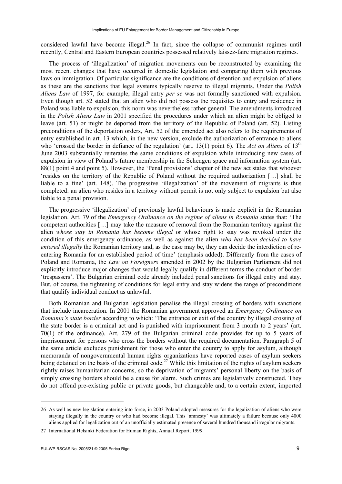considered lawful have become illegal.<sup>26</sup> In fact, since the collapse of communist regimes until recently, Central and Eastern European countries possessed relatively laissez-faire migration regimes.

The process of 'illegalization' of migration movements can be reconstructed by examining the most recent changes that have occurred in domestic legislation and comparing them with previous laws on immigration. Of particular significance are the conditions of detention and expulsion of aliens as these are the sanctions that legal systems typically reserve to illegal migrants. Under the *Polish Aliens Law* of 1997, for example, illegal entry *per se* was not formally sanctioned with expulsion. Even though art. 52 stated that an alien who did not possess the requisites to entry and residence in Poland was liable to expulsion, this norm was nevertheless rather general. The amendments introduced in the *Polish Aliens Law* in 2001 specified the procedures under which an alien might be obliged to leave (art. 51) or might be deported from the territory of the Republic of Poland (art. 52). Listing preconditions of the deportation orders, Art. 52 of the emended act also refers to the requirements of entry established in art. 13 which, in the new version, exclude the authorization of entrance to aliens who 'crossed the border in defiance of the regulation' (art. 13(1) point 6). The *Act on Aliens* of 13<sup>th</sup> June 2003 substantially reiterates the same conditions of expulsion while introducing new cases of expulsion in view of Poland's future membership in the Schengen space and information system (art. 88(1) point 4 and point 5). However, the 'Penal provisions' chapter of the new act states that whoever 'resides on the territory of the Republic of Poland without the required authorization […] shall be liable to a fine' (art. 148). The progressive 'illegalization' of the movement of migrants is thus completed: an alien who resides in a territory without permit is not only subject to expulsion but also liable to a penal provision.

The progressive 'illegalization' of previously lawful behaviours is made explicit in the Romanian legislation. Art. 79 of the *Emergency Ordinance on the regime of aliens in Romania* states that: 'The competent authorities […] may take the measure of removal from the Romanian territory against the alien *whose stay in Romania has become illegal* or whose right to stay was revoked under the condition of this emergency ordinance, as well as against the alien *who has been decided to have entered illegally* the Romanian territory and, as the case may be, they can decide the interdiction of reentering Romania for an established period of time' (emphasis added). Differently from the cases of Poland and Romania, the *Law on Foreigners* amended in 2002 by the Bulgarian Parliament did not explicitly introduce major changes that would legally qualify in different terms the conduct of border 'trespassers'. The Bulgarian criminal code already included penal sanctions for illegal entry and stay. But, of course, the tightening of conditions for legal entry and stay widens the range of preconditions that qualify individual conduct as unlawful.

Both Romanian and Bulgarian legislation penalise the illegal crossing of borders with sanctions that include incarceration. In 2001 the Romanian government approved an *Emergency Ordinance on Romania's state border* according to which: 'The entrance or exit of the country by illegal crossing of the state border is a criminal act and is punished with imprisonment from 3 month to 2 years' (art. 70(1) of the ordinance). Art. 279 of the Bulgarian criminal code provides for up to 5 years of imprisonment for persons who cross the borders without the required documentation. Paragraph 5 of the same article excludes punishment for those who enter the country to apply for asylum, although memoranda of nongovernmental human rights organizations have reported cases of asylum seekers being detained on the basis of the criminal code.<sup>27</sup> While this limitation of the rights of asylum seekers rightly raises humanitarian concerns, so the deprivation of migrants' personal liberty on the basis of simply crossing borders should be a cause for alarm. Such crimes are legislatively constructed. They do not offend pre-existing public or private goods, but changeable and, to a certain extent, imported

<sup>26</sup> As well as new legislation entering into force, in 2003 Poland adopted measures for the legalization of aliens who were staying illegally in the country or who had become illegal. This 'amnesty' was ultimately a failure because only 4000 aliens applied for legalization out of an unofficially estimated presence of several hundred thousand irregular migrants.

<sup>27</sup> International Helsinki Federation for Human Rights, Annual Report, 1999.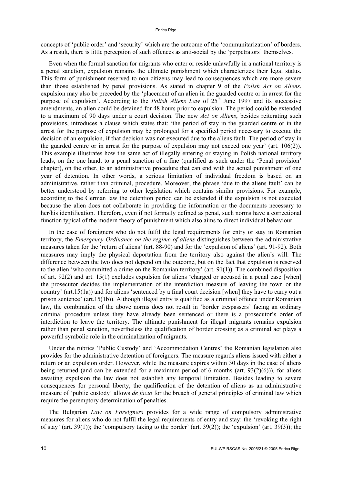concepts of 'public order' and 'security' which are the outcome of the 'communitarization' of borders. As a result, there is little perception of such offences as anti-social by the 'perpetrators' themselves.

Even when the formal sanction for migrants who enter or reside unlawfully in a national territory is a penal sanction, expulsion remains the ultimate punishment which characterizes their legal status. This form of punishment reserved to non-citizens may lead to consequences which are more severe than those established by penal provisions. As stated in chapter 9 of the *Polish Act on Aliens*, expulsion may also be preceded by the 'placement of an alien in the guarded centre or in arrest for the purpose of expulsion<sup>'</sup>. According to the *Polish Aliens Law* of  $25^{th}$  June 1997 and its successive amendments, an alien could be detained for 48 hours prior to expulsion. The period could be extended to a maximum of 90 days under a court decision. The new *Act on Aliens*, besides reiterating such provisions, introduces a clause which states that: 'the period of stay in the guarded centre or in the arrest for the purpose of expulsion may be prolonged for a specified period necessary to execute the decision of an expulsion, if that decision was not executed due to the aliens fault. The period of stay in the guarded centre or in arrest for the purpose of expulsion may not exceed one year' (art. 106(2)). This example illustrates how the same act of illegally entering or staying in Polish national territory leads, on the one hand, to a penal sanction of a fine (qualified as such under the 'Penal provision' chapter), on the other, to an administrative procedure that can end with the actual punishment of one year of detention. In other words, a serious limitation of individual freedom is based on an administrative, rather than criminal, procedure. Moreover, the phrase 'due to the aliens fault' can be better understood by referring to other legislation which contains similar provisions. For example, according to the German law the detention period can be extended if the expulsion is not executed because the alien does not collaborate in providing the information or the documents necessary to her/his identification. Therefore, even if not formally defined as penal, such norms have a correctional function typical of the modern theory of punishment which also aims to direct individual behaviour.

In the case of foreigners who do not fulfil the legal requirements for entry or stay in Romanian territory, the *Emergency Ordinance on the regime of aliens* distinguishes between the administrative measures taken for the 'return of aliens' (art. 88-90) and for the 'expulsion of aliens' (art. 91-92). Both measures may imply the physical deportation from the territory also against the alien's will. The difference between the two does not depend on the outcome, but on the fact that expulsion is reserved to the alien 'who committed a crime on the Romanian territory' (art. 91(1)). The combined disposition of art. 92(2) and art. 15(1) excludes expulsion for aliens 'charged or accused in a penal case [when] the prosecutor decides the implementation of the interdiction measure of leaving the town or the country' (art.15(1a)) and for aliens 'sentenced by a final court decision [when] they have to carry out a prison sentence' (art.15(1b)). Although illegal entry is qualified as a criminal offence under Romanian law, the combination of the above norms does not result in 'border trespassers' facing an ordinary criminal procedure unless they have already been sentenced or there is a prosecutor's order of interdiction to leave the territory. The ultimate punishment for illegal migrants remains expulsion rather than penal sanction, nevertheless the qualification of border crossing as a criminal act plays a powerful symbolic role in the criminalization of migrants.

Under the rubrics 'Public Custody' and 'Accommodation Centres' the Romanian legislation also provides for the administrative detention of foreigners. The measure regards aliens issued with either a return or an expulsion order. However, while the measure expires within 30 days in the case of aliens being returned (and can be extended for a maximum period of 6 months (art.  $93(2)(6)$ )), for aliens awaiting expulsion the law does not establish any temporal limitation. Besides leading to severe consequences for personal liberty, the qualification of the detention of aliens as an administrative measure of 'public custody' allows *de facto* for the breach of general principles of criminal law which require the peremptory determination of penalties.

The Bulgarian *Law on Foreigners* provides for a wide range of compulsory administrative measures for aliens who do not fulfil the legal requirements of entry and stay: the 'revoking the right of stay' (art. 39(1)); the 'compulsory taking to the border' (art. 39(2)); the 'expulsion' (art. 39(3)); the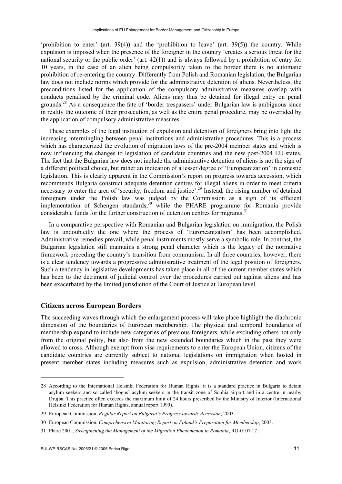'prohibition to enter' (art. 39(4)) and the 'prohibition to leave' (art. 39(5)) the country. While expulsion is imposed when the presence of the foreigner in the country 'creates a serious threat for the national security or the public order' (art. 42(1)) and is always followed by a prohibition of entry for 10 years, in the case of an alien being compulsorily taken to the border there is no automatic prohibition of re-entering the country. Differently from Polish and Romanian legislation, the Bulgarian law does not include norms which provide for the administrative detention of aliens. Nevertheless, the preconditions listed for the application of the compulsory administrative measures overlap with conducts penalised by the criminal code. Aliens may thus be detained for illegal entry on penal grounds.<sup>28</sup> As a consequence the fate of 'border trespassers' under Bulgarian law is ambiguous since in reality the outcome of their prosecution, as well as the entire penal procedure, may be overrided by the application of compulsory administrative measures.

These examples of the legal institution of expulsion and detention of foreigners bring into light the increasing intermingling between penal institutions and administrative procedures. This is a process which has characterized the evolution of migration laws of the pre-2004 member states and which is now influencing the changes to legislation of candidate countries and the new post-2004 EU states. The fact that the Bulgarian law does not include the administrative detention of aliens is not the sign of a different political choice, but rather an indication of a lesser degree of 'Europeanization' in domestic legislation. This is clearly apparent in the Commission's report on progress towards accession, which recommends Bulgaria construct adequate detention centres for illegal aliens in order to meet criteria necessary to enter the area of 'security, freedom and justice'.<sup>29</sup> Instead, the rising number of detained foreigners under the Polish law was judged by the Commission as a sign of its efficient implementation of Schengen standards, $30$  while the PHARE programme for Romania provide considerable funds for the further construction of detention centres for migrants.<sup>31</sup>

In a comparative perspective with Romanian and Bulgarian legislation on immigration, the Polish law is undoubtedly the one where the process of 'Europeanization' has been accomplished. Administrative remedies prevail, while penal instruments mostly serve a symbolic role. In contrast, the Bulgarian legislation still maintains a strong penal character which is the legacy of the normative framework preceding the country's transition from communism. In all three countries, however, there is a clear tendency towards a progressive administrative treatment of the legal position of foreigners. Such a tendency in legislative developments has taken place in all of the current member states which has been to the detriment of judicial control over the procedures carried out against aliens and has been exacerbated by the limited jurisdiction of the Court of Justice at European level.

#### **Citizens across European Borders**

The succeeding waves through which the enlargement process will take place highlight the diachronic dimension of the boundaries of European membership. The physical and temporal boundaries of membership expand to include new categories of previous foreigners, while excluding others not only from the original polity, but also from the new extended boundaries which in the past they were allowed to cross. Although exempt from visa requirements to enter the European Union, citizens of the candidate countries are currently subject to national legislations on immigration when hosted in present member states including measures such as expulsion, administrative detention and work

<sup>28</sup> According to the International Helsinki Federation for Human Rights, it is a standard practice in Bulgaria to detain asylum seekers and so called 'bogus' asylum seekers in the transit zone of Sophia airport and in a centre in nearby Drujba. This practice often exceeds the maximum limit of 24 hours prescribed by the Ministry of Interior (International Helsinki Federation for Human Rights, annual report 1999).

<sup>29</sup> European Commission, *Regular Report on Bulgaria's Progress towards Accession*, 2003.

<sup>30</sup> European Commission, *Comprehensive Monitoring Report on Poland's Preparation for Membership*, 2003.

<sup>31</sup> Phare 2001, *Strengthening the Management of the Migration Phenomenon in Romania*, RO-0107.17.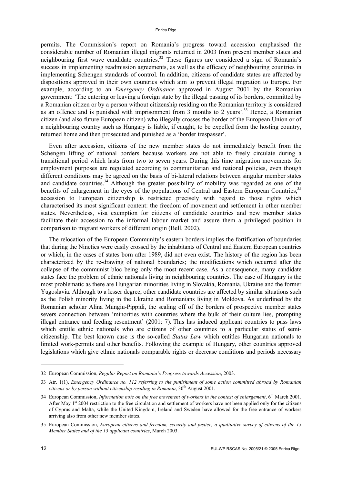permits. The Commission's report on Romania's progress toward accession emphasised the considerable number of Romanian illegal migrants returned in 2003 from present member states and neighbouring first wave candidate countries.<sup>32</sup> These figures are considered a sign of Romania's success in implementing readmission agreements, as well as the efficacy of neighbouring countries in implementing Schengen standards of control. In addition, citizens of candidate states are affected by dispositions approved in their own countries which aim to prevent illegal migration to Europe. For example, according to an *Emergency Ordinance* approved in August 2001 by the Romanian government: 'The entering or leaving a foreign state by the illegal passing of its borders, committed by a Romanian citizen or by a person without citizenship residing on the Romanian territory is considered as an offence and is punished with imprisonment from 3 months to 2 years'.<sup>33</sup> Hence, a Romanian citizen (and also future European citizen) who illegally crosses the border of the European Union or of a neighbouring country such as Hungary is liable, if caught, to be expelled from the hosting country, returned home and then prosecuted and punished as a 'border trespasser'.

Even after accession, citizens of the new member states do not immediately benefit from the Schengen lifting of national borders because workers are not able to freely circulate during a transitional period which lasts from two to seven years. During this time migration movements for employment purposes are regulated according to communitarian and national policies, even though different conditions may be agreed on the basis of bi-lateral relations between singular member states and candidate countries.<sup>34</sup> Although the greater possibility of mobility was regarded as one of the benefits of enlargement in the eyes of the populations of Central and Eastern European Countries.<sup>35</sup> accession to European citizenship is restricted precisely with regard to those rights which characterised its most significant content: the freedom of movement and settlement in other member states. Nevertheless, visa exemption for citizens of candidate countries and new member states facilitate their accession to the informal labour market and assure them a privileged position in comparison to migrant workers of different origin (Bell, 2002).

The relocation of the European Community's eastern borders implies the fortification of boundaries that during the Nineties were easily crossed by the inhabitants of Central and Eastern European countries or which, in the cases of states born after 1989, did not even exist. The history of the region has been characterized by the re-drawing of national boundaries; the modifications which occurred after the collapse of the communist bloc being only the most recent case. As a consequence, many candidate states face the problem of ethnic nationals living in neighbouring countries. The case of Hungary is the most problematic as there are Hungarian minorities living in Slovakia, Romania, Ukraine and the former Yugoslavia. Although to a lesser degree, other candidate countries are affected by similar situations such as the Polish minority living in the Ukraine and Romanians living in Moldova. As underlined by the Romanian scholar Alina Mungiu-Pippidi, the sealing off of the borders of prospective member states severs connection between 'minorities with countries where the bulk of their culture lies, prompting illegal entrance and feeding resentment' (2001: 7). This has induced applicant countries to pass laws which entitle ethnic nationals who are citizens of other countries to a particular status of semicitizenship. The best known case is the so-called *Status Law* which entitles Hungarian nationals to limited work-permits and other benefits. Following the example of Hungary, other countries approved legislations which give ethnic nationals comparable rights or decrease conditions and periods necessary

<sup>32</sup> European Commission, *Regular Report on Romania's Progress towards Accession*, 2003.

<sup>33</sup> Atr. 1(1), *Emergency Ordinance no. 112 referring to the punishment of some action committed abroad by Romanian citizens or by person without citizenship residing in Romania*, 30<sup>th</sup> August 2001.

<sup>34</sup> European Commission, *Information note on the free movement of workers in the context of enlargement*, 6th March 2001. After May  $1<sup>st</sup>$  2004 restriction to the free circulation and settlement of workers have not been applied only for the citizens of Cyprus and Malta, while the United Kingdom, Ireland and Sweden have allowed for the free entrance of workers arriving also from other new member states.

<sup>35</sup> European Commission, *European citizens and freedom, security and justice, a qualitative survey of citizens of the 15 Member States and of the 13 applicant countries*, March 2003.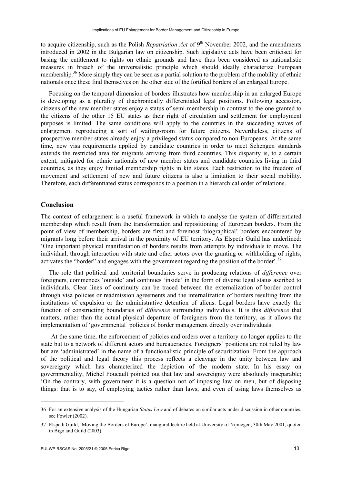to acquire citizenship, such as the Polish *Repatriation Act* of 9<sup>th</sup> November 2002, and the amendments introduced in 2002 in the Bulgarian law on citizenship. Such legislative acts have been criticised for basing the entitlement to rights on ethnic grounds and have thus been considered as nationalistic measures in breach of the universalistic principle which should ideally characterize European membership.<sup>36</sup> More simply they can be seen as a partial solution to the problem of the mobility of ethnic nationals once these find themselves on the other side of the fortified borders of an enlarged Europe.

Focusing on the temporal dimension of borders illustrates how membership in an enlarged Europe is developing as a plurality of diachronically differentiated legal positions. Following accession, citizens of the new member states enjoy a status of semi-membership in contrast to the one granted to the citizens of the other 15 EU states as their right of circulation and settlement for employment purposes is limited. The same conditions will apply to the countries in the succeeding waves of enlargement reproducing a sort of waiting-room for future citizens. Nevertheless, citizens of prospective member states already enjoy a privileged status compared to non-Europeans. At the same time, new visa requirements applied by candidate countries in order to meet Schengen standards extends the restricted area for migrants arriving from third countries. This disparity is, to a certain extent, mitigated for ethnic nationals of new member states and candidate countries living in third countries, as they enjoy limited membership rights in kin states. Each restriction to the freedom of movement and settlement of new and future citizens is also a limitation to their social mobility. Therefore, each differentiated status corresponds to a position in a hierarchical order of relations.

#### **Conclusion**

The context of enlargement is a useful framework in which to analyse the system of differentiated membership which result from the transformation and repositioning of European borders. From the point of view of membership, borders are first and foremost 'biographical' borders encountered by migrants long before their arrival in the proximity of EU territory. As Elspeth Guild has underlined: 'One important physical manifestation of borders results from attempts by individuals to move. The individual, through interaction with state and other actors over the granting or withholding of rights, activates the "border" and engages with the government regarding the position of the border".<sup>37</sup>

The role that political and territorial boundaries serve in producing relations of *difference* over foreigners, commences 'outside' and continues 'inside' in the form of diverse legal status ascribed to individuals. Clear lines of continuity can be traced between the externalization of border control through visa policies or readmission agreements and the internalization of borders resulting from the institutions of expulsion or the administrative detention of aliens. Legal borders have exactly the function of constructing boundaries of *difference* surrounding individuals. It is this *difference* that matters, rather than the actual physical departure of foreigners from the territory, as it allows the implementation of 'governmental' policies of border management directly over individuals.

At the same time, the enforcement of policies and orders over a territory no longer applies to the state but to a network of different actors and bureaucracies. Foreigners' positions are not ruled by law but are 'administrated' in the name of a functionalistic principle of securitization. From the approach of the political and legal theory this process reflects a cleavage in the unity between law and sovereignty which has characterized the depiction of the modern state. In his essay on governmentality, Michel Foucault pointed out that law and sovereignty were absolutely inseparable; 'On the contrary, with government it is a question not of imposing law on men, but of disposing things: that is to say, of employing tactics rather than laws, and even of using laws themselves as

<sup>36</sup> For an extensive analysis of the Hungarian *Status Law* and of debates on similar acts under discussion in other countries, see Fowler (2002).

<sup>37</sup> Elspeth Guild, 'Moving the Borders of Europe', inaugural lecture held at University of Nijmegen, 30th May 2001, quoted in Bigo and Guild (2003).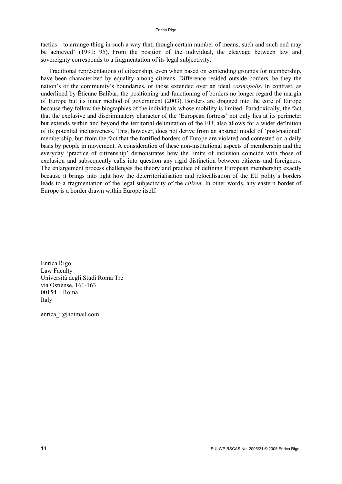tactics—to arrange thing in such a way that, though certain number of means, such and such end may be achieved' (1991: 95). From the position of the individual, the cleavage between law and sovereignty corresponds to a fragmentation of its legal subjectivity.

Traditional representations of citizenship, even when based on contending grounds for membership, have been characterized by equality among citizens. Difference resided outside borders, be they the nation's or the community's boundaries, or those extended over an ideal *cosmopolis*. In contrast, as underlined by Étienne Balibar, the positioning and functioning of borders no longer regard the margin of Europe but its inner method of government (2003). Borders are dragged into the core of Europe because they follow the biographies of the individuals whose mobility is limited. Paradoxically, the fact that the exclusive and discriminatory character of the 'European fortress' not only lies at its perimeter but extends within and beyond the territorial delimitation of the EU, also allows for a wider definition of its potential inclusiveness. This, however, does not derive from an abstract model of 'post-national' membership, but from the fact that the fortified borders of Europe are violated and contested on a daily basis by people in movement. A consideration of these non-institutional aspects of membership and the everyday 'practice of citizenship' demonstrates how the limits of inclusion coincide with those of exclusion and subsequently calls into question any rigid distinction between citizens and foreigners. The enlargement process challenges the theory and practice of defining European membership exactly because it brings into light how the deterritorialisation and relocalisation of the EU polity's borders leads to a fragmentation of the legal subjectivity of the *citizen*. In other words, any eastern border of Europe is a border drawn within Europe itself.

Enrica Rigo Law Faculty Università degli Studi Roma Tre via Ostiense, 161-163 00154 – Roma Italy

enrica\_r@hotmail.com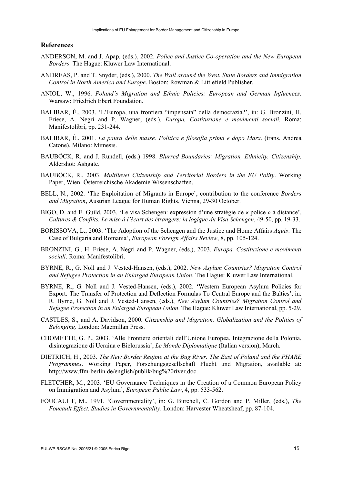#### **References**

- ANDERSON, M. and J. Apap, (eds.), 2002. *Police and Justice Co-operation and the New European Borders*. The Hague: Kluwer Law International.
- ANDREAS, P. and T. Snyder, (eds.), 2000. *The Wall around the West. State Borders and Immigration Control in North America and Europe*. Boston: Rowman & Littlefield Publisher.
- ANIOL, W., 1996. *Poland's Migration and Ethnic Policies: European and German Influences*. Warsaw: Friedrich Ebert Foundation.
- BALIBAR, É., 2003. 'L'Europa, una frontiera "impensata" della democrazia?', in: G. Bronzini, H. Friese, A. Negri and P. Wagner, (eds.), *Europa, Costituzione e movimenti sociali.* Roma: Manifestolibri, pp. 231-244.
- BALIBAR, É., 2001. *La paura delle masse. Politica e filosofia prima e dopo Marx*. (trans. Andrea Catone). Milano: Mimesis.
- BAUBÖCK, R. and J. Rundell, (eds.) 1998. *Blurred Boundaries: Migration, Ethnicity, Citizenship*. Aldershot: Ashgate.
- BAUBÖCK, R., 2003. *Multilevel Citizenship and Territorial Borders in the EU Polity*. Working Paper, Wien: Österreichische Akademie Wissenschaften.
- BELL, N., 2002. 'The Exploitation of Migrants in Europe', contribution to the conference *Borders and Migration*, Austrian League for Human Rights, Vienna, 29-30 October.
- BIGO, D. and E. Guild, 2003. 'Le visa Schengen: expression d'une stratégie de « police » à distance', *Cultures & Conflits. Le mise à l'écart des ètrangers: la logique du Visa Schengen*, 49-50, pp. 19-33.
- BORISSOVA, L., 2003. 'The Adoption of the Schengen and the Justice and Home Affairs *Aquis*: The Case of Bulgaria and Romania', *European Foreign Affairs Review*, 8, pp. 105-124.
- BRONZINI, G., H. Friese, A. Negri and P. Wagner, (eds.), 2003. *Europa, Costituzione e movimenti sociali*. Roma: Manifestolibri.
- BYRNE, R., G. Noll and J. Vested-Hansen, (eds.), 2002. *New Asylum Countries? Migration Control and Refugee Protection in an Enlarged European Union*. The Hague: Kluwer Law International.
- BYRNE, R., G. Noll and J. Vested-Hansen, (eds.), 2002. 'Western European Asylum Policies for Export: The Transfer of Protection and Deflection Formulas To Central Europe and the Baltics', in: R. Byrne, G. Noll and J. Vested-Hansen, (eds.), *New Asylum Countries? Migration Control and Refugee Protection in an Enlarged European Union*. The Hague: Kluwer Law International, pp. 5-29.
- CASTLES, S., and A. Davidson, 2000. *Citizenship and Migration. Globalization and the Politics of Belonging*. London: Macmillan Press.
- CHOMETTE, G. P., 2003. 'Alle Frontiere orientali dell'Unione Europea. Integrazione della Polonia, disintegrazione di Ucraina e Bielorussia', *Le Monde Diplomatique* (Italian version), March.
- DIETRICH, H., 2003. *The New Border Regime at the Bug River. The East of Poland and the PHARE Programmes*. Working Paper, Forschungsgesellschaft Flucht und Migration, available at: http://www.ffm-berlin.de/english/publik/bug%20river.doc.
- FLETCHER, M., 2003. 'EU Governance Techniques in the Creation of a Common European Policy on Immigration and Asylum', *European Public Law*, 4, pp. 533-562.
- FOUCAULT, M., 1991. 'Governmentality', in: G. Burchell, C. Gordon and P. Miller, (eds.), *The Foucault Effect. Studies in Governmentality*. London: Harvester Wheatsheaf, pp. 87-104.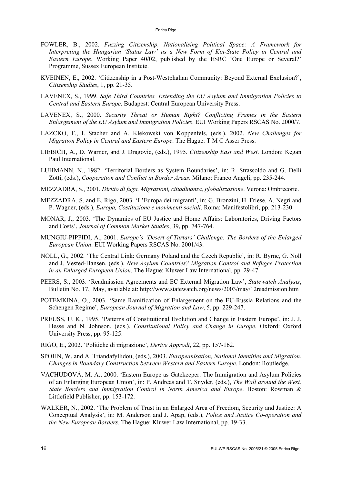- FOWLER, B., 2002. *Fuzzing Citizenship, Nationalising Political Space: A Framework for Interpreting the Hungarian 'Status Law' as a New Form of Kin-State Policy in Central and Eastern Europe*. Working Paper 40/02, published by the ESRC 'One Europe or Several?' Programme, Sussex European Institute.
- KVEINEN, E., 2002. 'Citizenship in a Post-Westphalian Community: Beyond External Exclusion?', *Citizenship Studies*, 1, pp. 21-35.
- LAVENEX, S., 1999. *Safe Third Countries. Extending the EU Asylum and Immigration Policies to Central and Eastern Europe*. Budapest: Central European University Press.
- LAVENEX, S., 2000. *Security Threat or Human Right? Conflicting Frames in the Eastern Enlargement of the EU Asylum and Immigration Policies*. EUI Working Papers RSCAS No. 2000/7.
- LAZCKO, F., I. Stacher and A. Klekowski von Koppenfels, (eds.), 2002. *New Challenges for Migration Policy in Central and Eastern Europe*. The Hague: T M C Asser Press.
- LIEBICH, A., D. Warner, and J. Dragovic, (eds.), 1995. *Citizenship East and West*. London: Kegan Paul International.
- LUHMANN, N., 1982. 'Territorial Borders as System Boundaries', in: R. Strassoldo and G. Delli Zotti, (eds.), *Cooperation and Conflict in Border Areas*. Milano: Franco Angeli, pp. 235-244.
- MEZZADRA, S., 2001. *Diritto di fuga. Migrazioni, cittadinanza, globalizzazione*. Verona: Ombrecorte.
- MEZZADRA, S. and E. Rigo, 2003. 'L'Europa dei migranti', in: G. Bronzini, H. Friese, A. Negri and P. Wagner, (eds.), *Europa, Costituzione e movimenti sociali*. Roma: Manifestolibri, pp. 213-230
- MONAR, J., 2003. 'The Dynamics of EU Justice and Home Affairs: Laboratories, Driving Factors and Costs', *Journal of Common Market Studies*, 39, pp. 747-764.
- MUNGIU-PIPPIDI, A., 2001. *Europe's 'Desert of Tartars' Challenge: The Borders of the Enlarged European Union*. EUI Working Papers RSCAS No. 2001/43.
- NOLL, G., 2002. 'The Central Link: Germany Poland and the Czech Republic', in: R. Byrne, G. Noll and J. Vested-Hansen, (eds.), *New Asylum Countries? Migration Control and Refugee Protection in an Enlarged European Union*. The Hague: Kluwer Law International, pp. 29-47.
- PEERS, S., 2003. 'Readmission Agreements and EC External Migration Law', *Statewatch Analysis*, Bulletin No. 17, May, available at: http://www.statewatch.org/news/2003/may/12readmission.htm
- POTEMKINA, O., 2003. 'Same Ramification of Enlargement on the EU-Russia Relations and the Schengen Regime', *European Journal of Migration and Law*, 5, pp. 229-247.
- PREUSS, U. K., 1995. 'Patterns of Constitutional Evolution and Change in Eastern Europe', in: J. J. Hesse and N. Johnson, (eds.), *Constitutional Policy and Change in Europe*. Oxford: Oxford University Press, pp. 95-125.
- RIGO, E., 2002. 'Politiche di migrazione', *Derive Approdi*, 22, pp. 157-162.
- SPOHN, W. and A. Triandafyllidou, (eds.), 2003. *Europeanisation, National Identities and Migration. Changes in Boundary Construction between Western and Eastern Europe*. London: Routledge.
- VACHUDOVÁ, M. A., 2000. 'Eastern Europe as Gatekeeper: The Immigration and Asylum Policies of an Enlarging European Union', in: P. Andreas and T. Snyder, (eds.), *The Wall around the West. State Borders and Immigration Control in North America and Europe*. Boston: Rowman & Littlefield Publisher, pp. 153-172.
- WALKER, N., 2002. 'The Problem of Trust in an Enlarged Area of Freedom, Security and Justice: A Conceptual Analysis', in: M. Anderson and J. Apap, (eds.), *Police and Justice Co-operation and the New European Borders*. The Hague: Kluwer Law International, pp. 19-33.